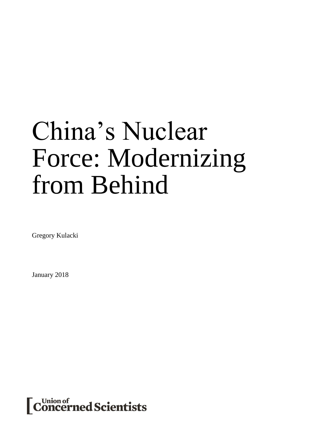# China's Nuclear Force: Modernizing from Behind

Gregory Kulacki

January 2018

Union of<br>C**oncerned Scientists**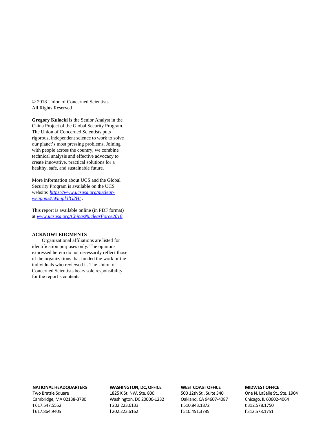© 2018 Union of Concerned Scientists All Rights Reserved

**Gregory Kulacki** is the Senior Analyst in the China Project of the Global Security Program. The Union of Concerned Scientists puts rigorous, independent science to work to solve our planet's most pressing problems. Joining with people across the country, we combine technical analysis and effective advocacy to create innovative, practical solutions for a healthy, safe, and sustainable future.

More information about UCS and the Global Security Program is available on the UCS website: *[https://www.ucsusa.org/nuclear](https://www.ucsusa.org/nuclear-weapons#.Wmjpl3lG2Ht)[weapons#.Wmjpl3lG2Ht](https://www.ucsusa.org/nuclear-weapons#.Wmjpl3lG2Ht)* .

This report is available online (in PDF format) at *[www.ucsusa.org/ChinasNuclearForce2018](http://www.ucsusa.org/ChinasNuclearForce2018)*.

#### **ACKNOWLEDGMENTS**

Organizational affiliations are listed for identification purposes only. The opinions expressed herein do not necessarily reflect those of the organizations that funded the work or the individuals who reviewed it. The Union of Concerned Scientists bears sole responsibility for the report's contents.

#### **NATIONAL HEADQUARTERS**

Two Brattle Square Cambridge, MA 02138-3780 **t** 617.547.5552 **f** 617.864.9405

#### **WASHINGTON, DC, OFFICE**

1825 K St. NW, Ste. 800 Washington, DC 20006-1232 **t** 202.223.6133 **f** 202.223.6162

#### **WEST COAST OFFICE**

500 12th St., Suite 340 Oakland, CA 94607-4087 **t** 510.843.1872 **f** 510.451.3785

#### **MIDWEST OFFICE**

One N. LaSalle St., Ste. 1904 Chicago, IL 60602-4064 **t** 312.578.1750 **f** 312.578.1751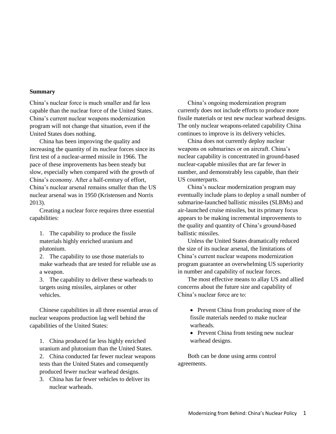# **Summary**

China's nuclear force is much smaller and far less capable than the nuclear force of the United States. China's current nuclear weapons modernization program will not change that situation, even if the United States does nothing.

China has been improving the quality and increasing the quantity of its nuclear forces since its first test of a nuclear-armed missile in 1966. The pace of these improvements has been steady but slow, especially when compared with the growth of China's economy. After a half-century of effort, China's nuclear arsenal remains smaller than the US nuclear arsenal was in 1950 (Kristensen and Norris 2013).

Creating a nuclear force requires three essential capabilities:

1. The capability to produce the fissile materials highly enriched uranium and plutonium.

2. The capability to use those materials to make warheads that are tested for reliable use as a weapon.

3. The capability to deliver these warheads to targets using missiles, airplanes or other vehicles.

Chinese capabilities in all three essential areas of nuclear weapons production lag well behind the capabilities of the United States:

1. China produced far less highly enriched uranium and plutonium than the United States.

2. China conducted far fewer nuclear weapons tests than the United States and consequently produced fewer nuclear warhead designs.

3. China has far fewer vehicles to deliver its nuclear warheads.

China's ongoing modernization program currently does not include efforts to produce more fissile materials or test new nuclear warhead designs. The only nuclear weapons-related capability China continues to improve is its delivery vehicles.

China does not currently deploy nuclear weapons on submarines or on aircraft. China's nuclear capability is concentrated in ground-based nuclear-capable missiles that are far fewer in number, and demonstrably less capable, than their US counterparts.

China's nuclear modernization program may eventually include plans to deploy a small number of submarine-launched ballistic missiles (SLBMs) and air-launched cruise missiles, but its primary focus appears to be making incremental improvements to the quality and quantity of China's ground-based ballistic missiles.

Unless the United States dramatically reduced the size of its nuclear arsenal, the limitations of China's current nuclear weapons modernization program guarantee an overwhelming US superiority in number and capability of nuclear forces.

The most effective means to allay US and allied concerns about the future size and capability of China's nuclear force are to:

- Prevent China from producing more of the fissile materials needed to make nuclear warheads.
- Prevent China from testing new nuclear warhead designs.

Both can be done using arms control agreements.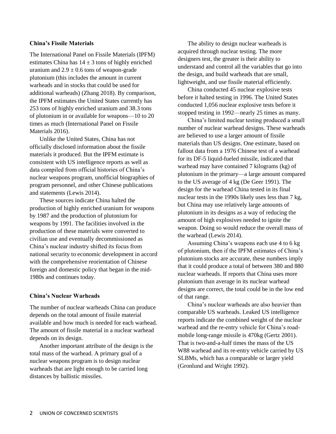# **China's Fissile Materials**

The International Panel on Fissile Materials (IPFM) estimates China has  $14 \pm 3$  tons of highly enriched uranium and  $2.9 \pm 0.6$  tons of weapon-grade plutonium (this includes the amount in current warheads and in stocks that could be used for additional warheads) (Zhang 2018). By comparison, the IPFM estimates the United States currently has 253 tons of highly enriched uranium and 38.3 tons of plutonium in or available for weapons—10 to 20 times as much (International Panel on Fissile Materials 2016).

Unlike the United States, China has not officially disclosed information about the fissile materials it produced. But the IPFM estimate is consistent with US intelligence reports as well as data compiled from official histories of China's nuclear weapons program, unofficial biographies of program personnel, and other Chinese publications and statements (Lewis 2014).

These sources indicate China halted the production of highly enriched uranium for weapons by 1987 and the production of plutonium for weapons by 1991. The facilities involved in the production of these materials were converted to civilian use and eventually decommissioned as China's nuclear industry shifted its focus from national security to economic development in accord with the comprehensive reorientation of Chinese foreign and domestic policy that began in the mid-1980s and continues today.

#### **China's Nuclear Warheads**

The number of nuclear warheads China can produce depends on the total amount of fissile material available and how much is needed for each warhead. The amount of fissile material in a nuclear warhead depends on its design.

Another important attribute of the design is the total mass of the warhead. A primary goal of a nuclear weapons program is to design nuclear warheads that are light enough to be carried long distances by ballistic missiles.

The ability to design nuclear warheads is acquired through nuclear testing. The more designers test, the greater is their ability to understand and control all the variables that go into the design, and build warheads that are small, lightweight, and use fissile material efficiently.

China conducted 45 nuclear explosive tests before it halted testing in 1996. The United States conducted 1,056 nuclear explosive tests before it stopped testing in 1992—nearly 25 times as many.

China's limited nuclear testing produced a small number of nuclear warhead designs. These warheads are believed to use a larger amount of fissile materials than US designs. One estimate, based on fallout data from a 1976 Chinese test of a warhead for its DF-5 liquid-fueled missile, indicated that warhead may have contained 7 kilograms (kg) of plutonium in the primary—a large amount compared to the US average of 4 kg (De Geer 1991). The design for the warhead China tested in its final nuclear tests in the 1990s likely uses less than 7 kg, but China may use relatively large amounts of plutonium in its designs as a way of reducing the amount of high explosives needed to ignite the weapon. Doing so would reduce the overall mass of the warhead (Lewis 2014).

Assuming China's weapons each use 4 to 6 kg of plutonium, then if the IPFM estimates of China's plutonium stocks are accurate, these numbers imply that it could produce a total of between 380 and 880 nuclear warheads. If reports that China uses more plutonium than average in its nuclear warhead designs are correct, the total could be in the low end of that range.

China's nuclear warheads are also heavier than comparable US warheads. Leaked US intelligence reports indicate the combined weight of the nuclear warhead and the re-entry vehicle for China's roadmobile long-range missile is 470kg (Gertz 2001). That is two-and-a-half times the mass of the US W88 warhead and its re-entry vehicle carried by US SLBMs, which has a comparable or larger yield (Gronlund and Wright 1992).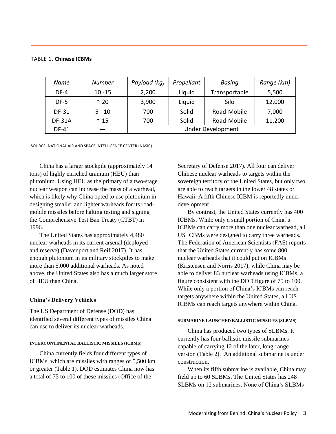| Name          | <b>Number</b> | Payload (kg)             | Propellant | Basing        | Range (km) |
|---------------|---------------|--------------------------|------------|---------------|------------|
| DF-4          | $10 - 15$     | 2,200                    | Liquid     | Transportable | 5,500      |
| $DF-5$        | $\approx$ 20  | 3,900                    | Liquid     | Silo          | 12,000     |
| DF-31         | $5 - 10$      | 700                      | Solid      | Road-Mobile   | 7,000      |
| <b>DF-31A</b> | $~\sim$ 15    | 700                      | Solid      | Road-Mobile   | 11,200     |
| DF-41         |               | <b>Under Development</b> |            |               |            |

## TABLE 1. **Chinese ICBMs**

SOURCE: NATIONAL AIR AND SPACE INTELLIGENCE CENTER (NASIC)

China has a larger stockpile (approximately 14 tons) of highly enriched uranium (HEU) than plutonium. Using HEU as the primary of a two-stage nuclear weapon can increase the mass of a warhead, which is likely why China opted to use plutonium in designing smaller and lighter warheads for its roadmobile missiles before halting testing and signing the Comprehensive Test Ban Treaty (CTBT) in 1996.

The United States has approximately 4,480 nuclear warheads in its current arsenal (deployed and reserve) (Davenport and Reif 2017). It has enough plutonium in its military stockpiles to make more than 5,000 additional warheads. As noted above, the United States also has a much larger store of HEU than China.

## **China's Delivery Vehicles**

The US Department of Defense (DOD) has identified several different types of missiles China can use to deliver its nuclear warheads.

# **INTERCONTINENTAL BALLISTIC MISSILES (ICBMS)**

China currently fields four different types of ICBMs, which are missiles with ranges of 5,500 km or greater (Table 1). DOD estimates China now has a total of 75 to 100 of these missiles (Office of the

Secretary of Defense 2017). All four can deliver Chinese nuclear warheads to targets within the sovereign territory of the United States, but only two are able to reach targets in the lower 48 states or Hawaii. A fifth Chinese ICBM is reportedly under development.

By contrast, the United States currently has 400 ICBMs. While only a small portion of China's ICBMs can carry more than one nuclear warhead, all US ICBMs were designed to carry three warheads. The Federation of American Scientists (FAS) reports that the United States currently has some 800 nuclear warheads that it could put on ICBMs (Kristensen and Norris 2017), while China may be able to deliver 83 nuclear warheads using ICBMs, a figure consistent with the DOD figure of 75 to 100. While only a portion of China's ICBMs can reach targets anywhere within the United States, all US ICBMs can reach targets anywhere within China.

#### **SUBMARINE LAUNCHED BALLISTIC MISSILES (SLBMS)**

China has produced two types of SLBMs. It currently has four ballistic missile submarines capable of carrying 12 of the later, long-range version (Table 2). An additional submarine is under construction.

When its fifth submarine is available, China may field up to 60 SLBMs. The United States has 248 SLBMs on 12 submarines. None of China's SLBMs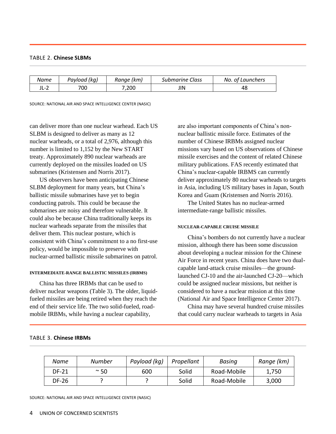# TABLE 2. **Chinese SLBMs**

| Name                                  | Payload (kq) | Range (km) | <b>Submarine Class</b> | No. of Launchers |
|---------------------------------------|--------------|------------|------------------------|------------------|
| ∽<br>$\overline{\phantom{a}}$<br>┚┕╶᠘ | 700          | 7.200      | JIN                    | 4٤               |

SOURCE: NATIONAL AIR AND SPACE INTELLIGENCE CENTER (NASIC)

can deliver more than one nuclear warhead. Each US SLBM is designed to deliver as many as 12 nuclear warheads, or a total of 2,976, although this number is limited to 1,152 by the New START treaty. Approximately 890 nuclear warheads are currently deployed on the missiles loaded on US submarines (Kristensen and Norris 2017).

US observers have been anticipating Chinese SLBM deployment for many years, but China's ballistic missile submarines have yet to begin conducting patrols. This could be because the submarines are noisy and therefore vulnerable. It could also be because China traditionally keeps its nuclear warheads separate from the missiles that deliver them. This nuclear posture, which is consistent with China's commitment to a no first-use policy, would be impossible to preserve with nuclear-armed ballistic missile submarines on patrol.

#### **INTERMEDIATE-RANGE BALLISTIC MISSILES (IRBMS)**

China has three IRBMs that can be used to deliver nuclear weapons (Table 3). The older, liquidfueled missiles are being retired when they reach the end of their service life. The two solid-fueled, roadmobile IRBMs, while having a nuclear capability,

are also important components of China's nonnuclear ballistic missile force. Estimates of the number of Chinese IRBMs assigned nuclear missions vary based on US observations of Chinese missile exercises and the content of related Chinese military publications. FAS recently estimated that China's nuclear-capable IRBMS can currently deliver approximately 80 nuclear warheads to targets in Asia, including US military bases in Japan, South Korea and Guam (Kristensen and Norris 2016).

The United States has no nuclear-armed intermediate-range ballistic missiles.

#### **NUCLEAR-CAPABLE CRUISE MISSILE**

China's bombers do not currently have a nuclear mission, although there has been some discussion about developing a nuclear mission for the Chinese Air Force in recent years. China does have two dualcapable land-attack cruise missiles—the groundlaunched CJ-10 and the air-launched CJ-20—which could be assigned nuclear missions, but neither is considered to have a nuclear mission at this time (National Air and Space Intelligence Center 2017).

China may have several hundred cruise missiles that could carry nuclear warheads to targets in Asia

| Name         | Number     | Payload (kg) | Propellant | Basing      | Range (km) |
|--------------|------------|--------------|------------|-------------|------------|
| <b>DF-21</b> | $~\sim$ 50 | 600          | Solid      | Road-Mobile | 1,750      |
| DF-26        |            |              | Solid      | Road-Mobile | 3,000      |

# TABLE 3. **Chinese IRBMs**

SOURCE: NATIONAL AIR AND SPACE INTELLIGENCE CENTER (NASIC)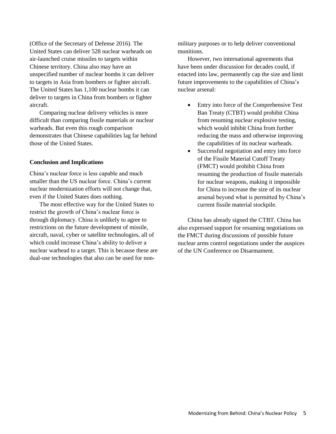(Office of the Secretary of Defense 2016). The United States can deliver 528 nuclear warheads on air-launched cruise missiles to targets within Chinese territory. China also may have an unspecified number of nuclear bombs it can deliver to targets in Asia from bombers or fighter aircraft. The United States has 1,100 nuclear bombs it can deliver to targets in China from bombers or fighter aircraft.

Comparing nuclear delivery vehicles is more difficult than comparing fissile materials or nuclear warheads. But even this rough comparison demonstrates that Chinese capabilities lag far behind those of the United States.

## **Conclusion and Implications**

China's nuclear force is less capable and much smaller than the US nuclear force. China's current nuclear modernization efforts will not change that, even if the United States does nothing.

The most effective way for the United States to restrict the growth of China's nuclear force is through diplomacy. China is unlikely to agree to restrictions on the future development of missile, aircraft, naval, cyber or satellite technologies, all of which could increase China's ability to deliver a nuclear warhead to a target. This is because these are dual-use technologies that also can be used for nonmilitary purposes or to help deliver conventional munitions.

However, two international agreements that have been under discussion for decades could, if enacted into law, permanently cap the size and limit future improvements to the capabilities of China's nuclear arsenal:

- Entry into force of the Comprehensive Test Ban Treaty (CTBT) would prohibit China from resuming nuclear explosive testing, which would inhibit China from further reducing the mass and otherwise improving the capabilities of its nuclear warheads.
- Successful negotiation and entry into force of the Fissile Material Cutoff Treaty (FMCT) would prohibit China from resuming the production of fissile materials for nuclear weapons, making it impossible for China to increase the size of its nuclear arsenal beyond what is permitted by China's current fissile material stockpile.

China has already signed the CTBT. China has also expressed support for resuming negotiations on the FMCT during discussions of possible future nuclear arms control negotiations under the auspices of the UN Conference on Disarmament.